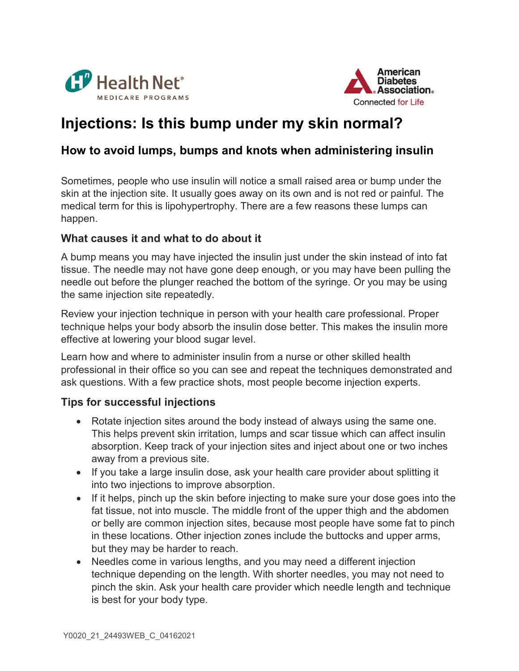



## Injections: Is this bump under my skin normal?

## How to avoid lumps, bumps and knots when administering insulin

Sometimes, people who use insulin will notice a small raised area or bump under the skin at the injection site. It usually goes away on its own and is not red or painful. The medical term for this is lipohypertrophy. There are a few reasons these lumps can happen.

## What causes it and what to do about it

A bump means you may have injected the insulin just under the skin instead of into fat tissue. The needle may not have gone deep enough, or you may have been pulling the needle out before the plunger reached the bottom of the syringe. Or you may be using the same injection site repeatedly.

Review your injection technique in person with your health care professional. Proper technique helps your body absorb the insulin dose better. This makes the insulin more effective at lowering your blood sugar level.

Learn how and where to administer insulin from a nurse or other skilled health professional in their office so you can see and repeat the techniques demonstrated and ask questions. With a few practice shots, most people become injection experts.

## Tips for successful injections

- Rotate injection sites around the body instead of always using the same one. This helps prevent skin irritation, lumps and scar tissue which can affect insulin absorption. Keep track of your injection sites and inject about one or two inches away from a previous site.
- If you take a large insulin dose, ask your health care provider about splitting it into two injections to improve absorption.
- If it helps, pinch up the skin before injecting to make sure your dose goes into the fat tissue, not into muscle. The middle front of the upper thigh and the abdomen or belly are common injection sites, because most people have some fat to pinch in these locations. Other injection zones include the buttocks and upper arms, but they may be harder to reach.
- Needles come in various lengths, and you may need a different injection technique depending on the length. With shorter needles, you may not need to pinch the skin. Ask your health care provider which needle length and technique is best for your body type.